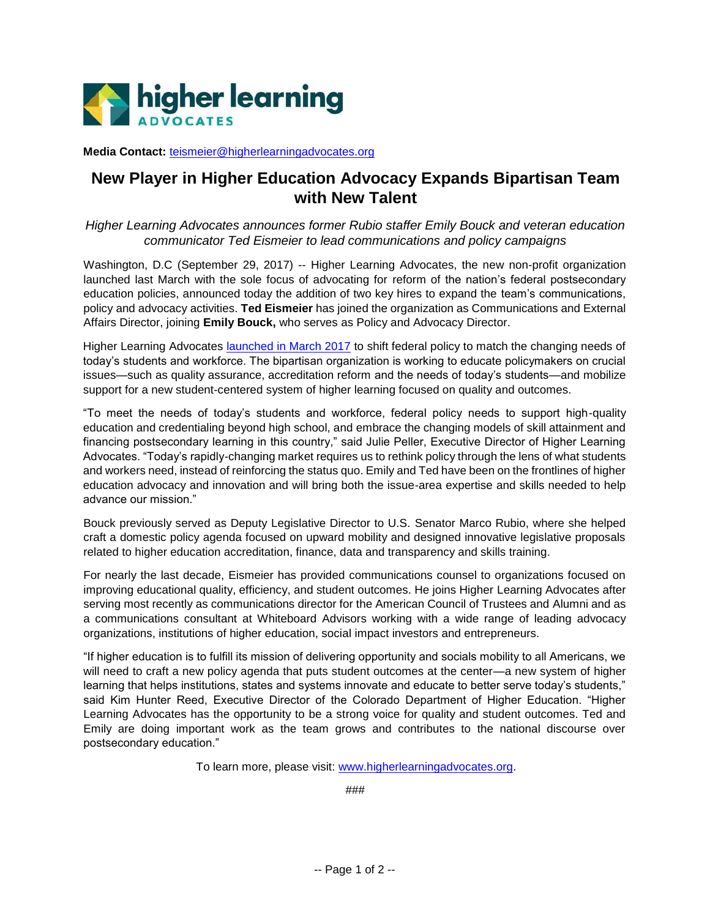

**Media Contact:** [teismeier@higherlearningadvocates.org](mailto:teismeier@higherlearningadvocates.org)

## **New Player in Higher Education Advocacy Expands Bipartisan Team with New Talent**

*Higher Learning Advocates announces former Rubio staffer Emily Bouck and veteran education communicator Ted Eismeier to lead communications and policy campaigns*

Washington, D.C (September 29, 2017) -- Higher Learning Advocates, the new non-profit organization launched last March with the sole focus of advocating for reform of the nation's federal postsecondary education policies, announced today the addition of two key hires to expand the team's communications, policy and advocacy activities. **Ted Eismeier** has joined the organization as Communications and External Affairs Director, joining **Emily Bouck,** who serves as Policy and Advocacy Director.

Higher Learning Advocates [launched in March 2017](http://bit.ly/2jDJedc) to shift federal policy to match the changing needs of today's students and workforce. The bipartisan organization is working to educate policymakers on crucial issues—such as quality assurance, accreditation reform and the needs of today's students—and mobilize support for a new student-centered system of higher learning focused on quality and outcomes.

"To meet the needs of today's students and workforce, federal policy needs to support high-quality education and credentialing beyond high school, and embrace the changing models of skill attainment and financing postsecondary learning in this country," said Julie Peller, Executive Director of Higher Learning Advocates. "Today's rapidly-changing market requires us to rethink policy through the lens of what students and workers need, instead of reinforcing the status quo. Emily and Ted have been on the frontlines of higher education advocacy and innovation and will bring both the issue-area expertise and skills needed to help advance our mission."

Bouck previously served as Deputy Legislative Director to U.S. Senator Marco Rubio, where she helped craft a domestic policy agenda focused on upward mobility and designed innovative legislative proposals related to higher education accreditation, finance, data and transparency and skills training.

For nearly the last decade, Eismeier has provided communications counsel to organizations focused on improving educational quality, efficiency, and student outcomes. He joins Higher Learning Advocates after serving most recently as communications director for the American Council of Trustees and Alumni and as a communications consultant at Whiteboard Advisors working with a wide range of leading advocacy organizations, institutions of higher education, social impact investors and entrepreneurs.

"If higher education is to fulfill its mission of delivering opportunity and socials mobility to all Americans, we will need to craft a new policy agenda that puts student outcomes at the center—a new system of higher learning that helps institutions, states and systems innovate and educate to better serve today's students," said Kim Hunter Reed, Executive Director of the Colorado Department of Higher Education. "Higher Learning Advocates has the opportunity to be a strong voice for quality and student outcomes. Ted and Emily are doing important work as the team grows and contributes to the national discourse over postsecondary education."

To learn more, please visit: [www.higherlearningadvocates.org.](http://www.higherlearningadvocates.org/)

###